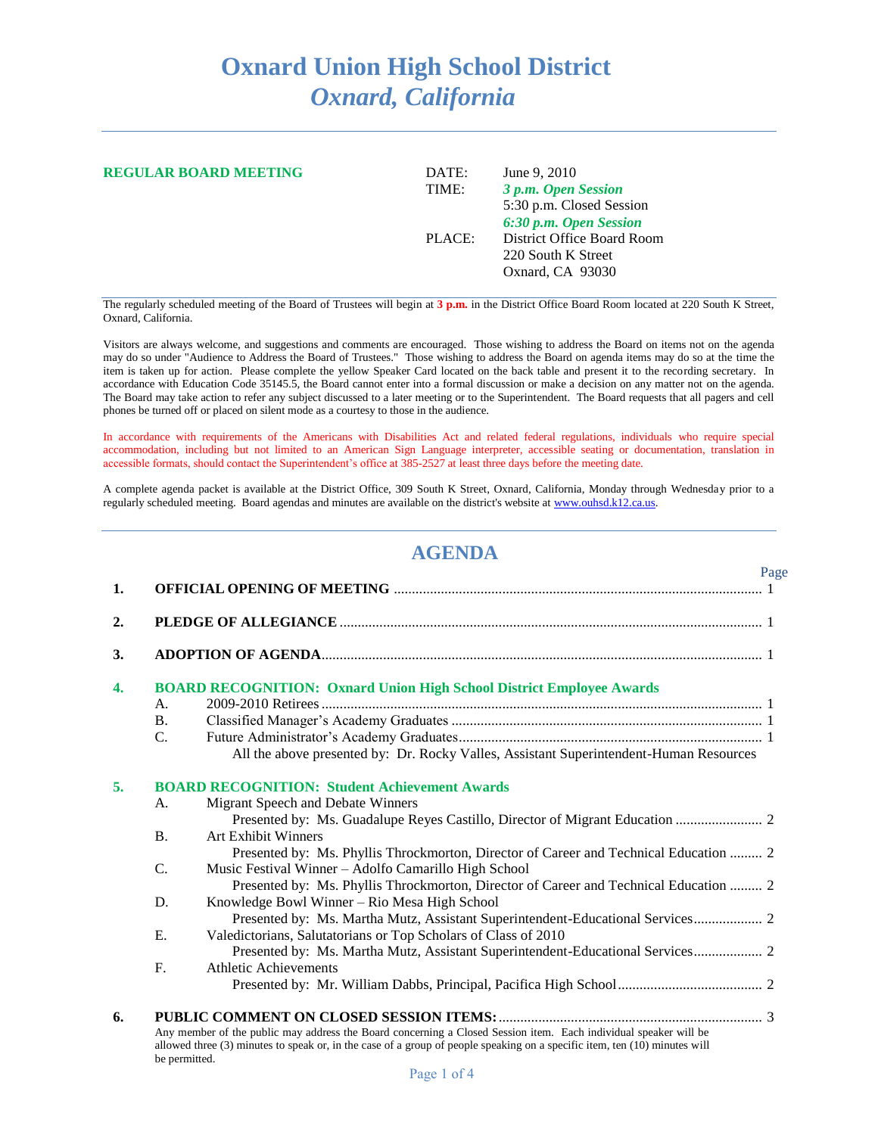## **Oxnard Union High School District** *Oxnard, California*

| <b>REGULAR BOARD MEETING</b> | DATE:<br>TIME: | June 9, 2010<br>3 p.m. Open Session<br>5:30 p.m. Closed Session<br>6:30 p.m. Open Session |
|------------------------------|----------------|-------------------------------------------------------------------------------------------|
|                              | PLACE:         | District Office Board Room<br>220 South K Street<br>Oxnard, CA 93030                      |

The regularly scheduled meeting of the Board of Trustees will begin at **3 p.m.** in the District Office Board Room located at 220 South K Street, Oxnard, California.

Visitors are always welcome, and suggestions and comments are encouraged. Those wishing to address the Board on items not on the agenda may do so under "Audience to Address the Board of Trustees." Those wishing to address the Board on agenda items may do so at the time the item is taken up for action. Please complete the yellow Speaker Card located on the back table and present it to the recording secretary. In accordance with Education Code 35145.5, the Board cannot enter into a formal discussion or make a decision on any matter not on the agenda. The Board may take action to refer any subject discussed to a later meeting or to the Superintendent. The Board requests that all pagers and cell phones be turned off or placed on silent mode as a courtesy to those in the audience.

In accordance with requirements of the Americans with Disabilities Act and related federal regulations, individuals who require special accommodation, including but not limited to an American Sign Language interpreter, accessible seating or documentation, translation in accessible formats, should contact the Superintendent's office at 385-2527 at least three days before the meeting date.

A complete agenda packet is available at the District Office, 309 South K Street, Oxnard, California, Monday through Wednesday prior to a regularly scheduled meeting. Board agendas and minutes are available on the district's website at [www.ouhsd.k12.ca.us.](http://www.ouhsd.k12.ca.us/)

## **AGENDA**

| 1.               |                 | Page                                                                                                                                                                                                                                           |
|------------------|-----------------|------------------------------------------------------------------------------------------------------------------------------------------------------------------------------------------------------------------------------------------------|
| 2.               |                 |                                                                                                                                                                                                                                                |
| 3.               |                 |                                                                                                                                                                                                                                                |
| $\overline{4}$ . |                 | <b>BOARD RECOGNITION: Oxnard Union High School District Employee Awards</b>                                                                                                                                                                    |
|                  | A <sub>1</sub>  |                                                                                                                                                                                                                                                |
|                  | $\mathbf{B}$ .  |                                                                                                                                                                                                                                                |
|                  | $C_{\cdot}$     |                                                                                                                                                                                                                                                |
|                  |                 | All the above presented by: Dr. Rocky Valles, Assistant Superintendent-Human Resources                                                                                                                                                         |
| 5.               |                 | <b>BOARD RECOGNITION: Student Achievement Awards</b>                                                                                                                                                                                           |
|                  | A.              | Migrant Speech and Debate Winners                                                                                                                                                                                                              |
|                  |                 |                                                                                                                                                                                                                                                |
|                  | B.              | <b>Art Exhibit Winners</b>                                                                                                                                                                                                                     |
|                  |                 | Presented by: Ms. Phyllis Throckmorton, Director of Career and Technical Education  2                                                                                                                                                          |
|                  | $\mathcal{C}$ . | Music Festival Winner - Adolfo Camarillo High School                                                                                                                                                                                           |
|                  |                 | Presented by: Ms. Phyllis Throckmorton, Director of Career and Technical Education  2                                                                                                                                                          |
|                  | D.              | Knowledge Bowl Winner - Rio Mesa High School                                                                                                                                                                                                   |
|                  |                 | Presented by: Ms. Martha Mutz, Assistant Superintendent-Educational Services 2                                                                                                                                                                 |
|                  | E.              | Valedictorians, Salutatorians or Top Scholars of Class of 2010                                                                                                                                                                                 |
|                  |                 | Presented by: Ms. Martha Mutz, Assistant Superintendent-Educational Services 2                                                                                                                                                                 |
|                  | $F_{\cdot}$     | <b>Athletic Achievements</b>                                                                                                                                                                                                                   |
|                  |                 |                                                                                                                                                                                                                                                |
| 6.               |                 |                                                                                                                                                                                                                                                |
|                  | be permitted.   | Any member of the public may address the Board concerning a Closed Session item. Each individual speaker will be<br>allowed three (3) minutes to speak or, in the case of a group of people speaking on a specific item, ten (10) minutes will |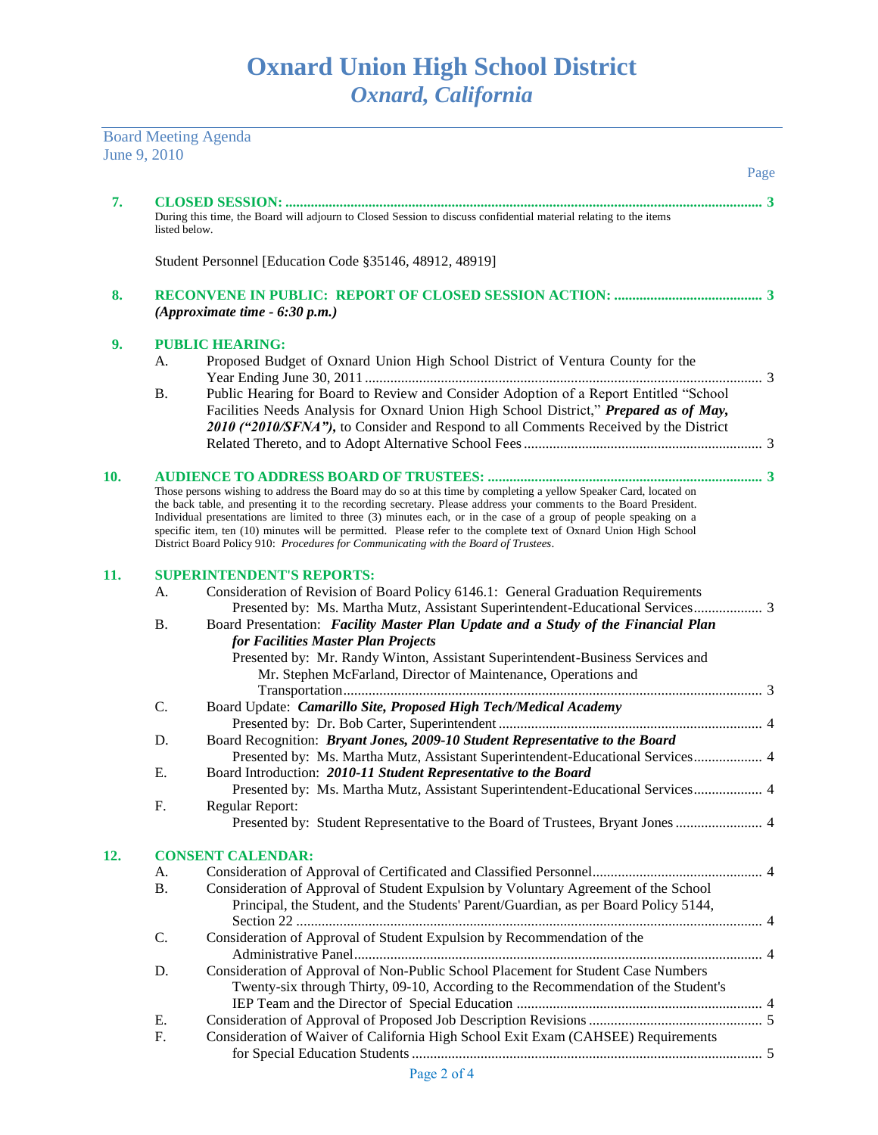Board Meeting Agenda June 9, 2010

|     |               |                                                                                                                                                                                                                                                                                                                                                                                                                                                                                                                                                                         | Page |
|-----|---------------|-------------------------------------------------------------------------------------------------------------------------------------------------------------------------------------------------------------------------------------------------------------------------------------------------------------------------------------------------------------------------------------------------------------------------------------------------------------------------------------------------------------------------------------------------------------------------|------|
| 7.  |               |                                                                                                                                                                                                                                                                                                                                                                                                                                                                                                                                                                         |      |
|     | listed below. | During this time, the Board will adjourn to Closed Session to discuss confidential material relating to the items                                                                                                                                                                                                                                                                                                                                                                                                                                                       |      |
|     |               | Student Personnel [Education Code §35146, 48912, 48919]                                                                                                                                                                                                                                                                                                                                                                                                                                                                                                                 |      |
| 8.  |               | (Approximate time $-6:30$ p.m.)                                                                                                                                                                                                                                                                                                                                                                                                                                                                                                                                         |      |
| 9.  |               | <b>PUBLIC HEARING:</b>                                                                                                                                                                                                                                                                                                                                                                                                                                                                                                                                                  |      |
|     | A.            | Proposed Budget of Oxnard Union High School District of Ventura County for the                                                                                                                                                                                                                                                                                                                                                                                                                                                                                          |      |
|     | Β.            | Public Hearing for Board to Review and Consider Adoption of a Report Entitled "School<br>Facilities Needs Analysis for Oxnard Union High School District," Prepared as of May,<br>2010 ("2010/SFNA"), to Consider and Respond to all Comments Received by the District                                                                                                                                                                                                                                                                                                  |      |
|     |               |                                                                                                                                                                                                                                                                                                                                                                                                                                                                                                                                                                         |      |
| 10. |               | Those persons wishing to address the Board may do so at this time by completing a yellow Speaker Card, located on<br>the back table, and presenting it to the recording secretary. Please address your comments to the Board President.<br>Individual presentations are limited to three (3) minutes each, or in the case of a group of people speaking on a<br>specific item, ten (10) minutes will be permitted. Please refer to the complete text of Oxnard Union High School<br>District Board Policy 910: Procedures for Communicating with the Board of Trustees. |      |
| 11. |               | <b>SUPERINTENDENT'S REPORTS:</b>                                                                                                                                                                                                                                                                                                                                                                                                                                                                                                                                        |      |
|     | A.            | Consideration of Revision of Board Policy 6146.1: General Graduation Requirements                                                                                                                                                                                                                                                                                                                                                                                                                                                                                       |      |
|     | <b>B.</b>     | Presented by: Ms. Martha Mutz, Assistant Superintendent-Educational Services 3<br>Board Presentation: Facility Master Plan Update and a Study of the Financial Plan<br>for Facilities Master Plan Projects<br>Presented by: Mr. Randy Winton, Assistant Superintendent-Business Services and                                                                                                                                                                                                                                                                            |      |
|     |               | Mr. Stephen McFarland, Director of Maintenance, Operations and                                                                                                                                                                                                                                                                                                                                                                                                                                                                                                          |      |
|     | C.            | Board Update: Camarillo Site, Proposed High Tech/Medical Academy                                                                                                                                                                                                                                                                                                                                                                                                                                                                                                        |      |
|     |               |                                                                                                                                                                                                                                                                                                                                                                                                                                                                                                                                                                         |      |
|     | D.            | Board Recognition: Bryant Jones, 2009-10 Student Representative to the Board                                                                                                                                                                                                                                                                                                                                                                                                                                                                                            |      |
|     |               | Presented by: Ms. Martha Mutz, Assistant Superintendent-Educational Services 4                                                                                                                                                                                                                                                                                                                                                                                                                                                                                          |      |
|     | Е.            | Board Introduction: 2010-11 Student Representative to the Board                                                                                                                                                                                                                                                                                                                                                                                                                                                                                                         |      |
|     |               | Presented by: Ms. Martha Mutz, Assistant Superintendent-Educational Services 4                                                                                                                                                                                                                                                                                                                                                                                                                                                                                          |      |
|     | F.            | Regular Report:<br>Presented by: Student Representative to the Board of Trustees, Bryant Jones  4                                                                                                                                                                                                                                                                                                                                                                                                                                                                       |      |
| 12. |               | <b>CONSENT CALENDAR:</b>                                                                                                                                                                                                                                                                                                                                                                                                                                                                                                                                                |      |
|     | A.            |                                                                                                                                                                                                                                                                                                                                                                                                                                                                                                                                                                         |      |
|     | <b>B.</b>     | Consideration of Approval of Student Expulsion by Voluntary Agreement of the School<br>Principal, the Student, and the Students' Parent/Guardian, as per Board Policy 5144,                                                                                                                                                                                                                                                                                                                                                                                             |      |
|     | C.            | Consideration of Approval of Student Expulsion by Recommendation of the                                                                                                                                                                                                                                                                                                                                                                                                                                                                                                 |      |
|     | D.            | Consideration of Approval of Non-Public School Placement for Student Case Numbers<br>Twenty-six through Thirty, 09-10, According to the Recommendation of the Student's                                                                                                                                                                                                                                                                                                                                                                                                 |      |
|     | Е.            |                                                                                                                                                                                                                                                                                                                                                                                                                                                                                                                                                                         |      |
|     | F.            | Consideration of Waiver of California High School Exit Exam (CAHSEE) Requirements                                                                                                                                                                                                                                                                                                                                                                                                                                                                                       |      |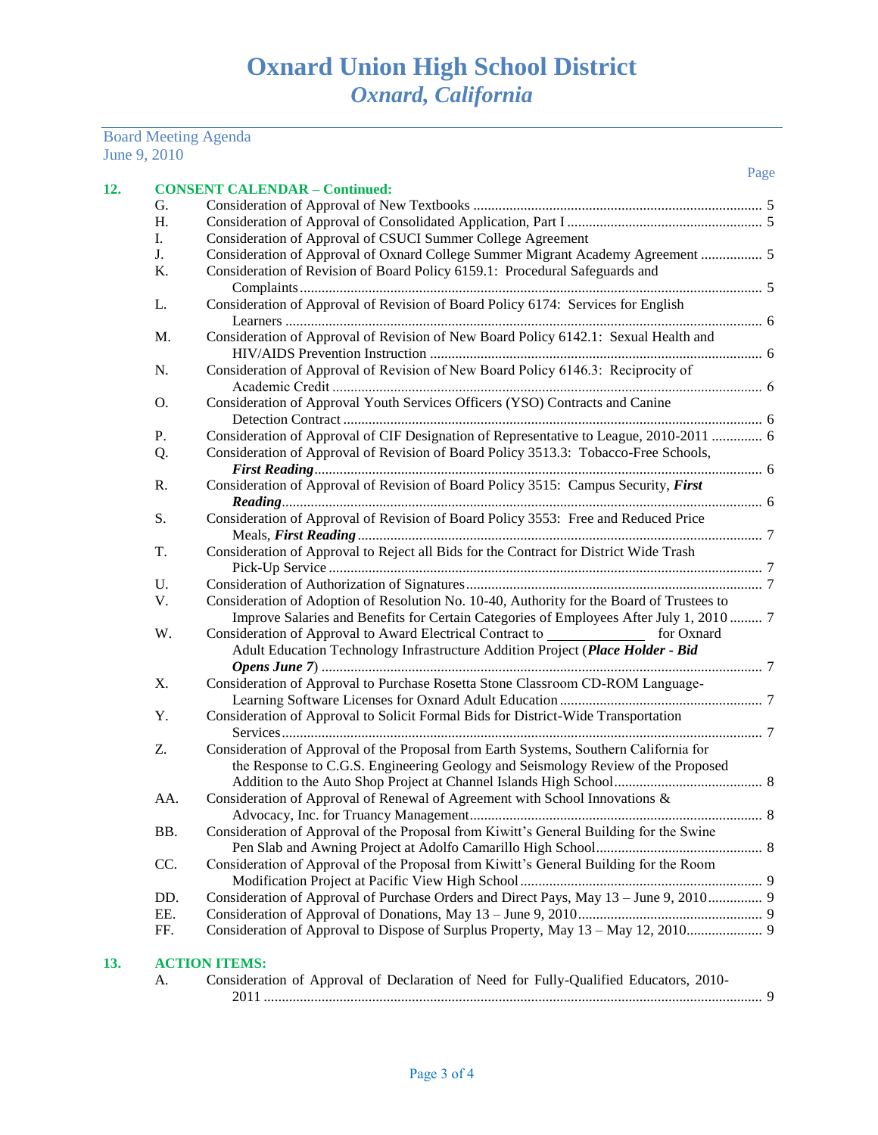## Board Meeting Agenda June 9, 2010

| G.  |                                                                                           |
|-----|-------------------------------------------------------------------------------------------|
| H.  |                                                                                           |
| I.  | Consideration of Approval of CSUCI Summer College Agreement                               |
| J.  | Consideration of Approval of Oxnard College Summer Migrant Academy Agreement  5           |
| K.  | Consideration of Revision of Board Policy 6159.1: Procedural Safeguards and               |
|     |                                                                                           |
| L.  | Consideration of Approval of Revision of Board Policy 6174: Services for English          |
|     |                                                                                           |
| M.  | Consideration of Approval of Revision of New Board Policy 6142.1: Sexual Health and       |
|     |                                                                                           |
| N.  | Consideration of Approval of Revision of New Board Policy 6146.3: Reciprocity of          |
|     |                                                                                           |
| O.  | Consideration of Approval Youth Services Officers (YSO) Contracts and Canine              |
|     |                                                                                           |
| Ρ.  | Consideration of Approval of CIF Designation of Representative to League, 2010-2011  6    |
| Q.  | Consideration of Approval of Revision of Board Policy 3513.3: Tobacco-Free Schools,       |
|     |                                                                                           |
| R.  | Consideration of Approval of Revision of Board Policy 3515: Campus Security, First        |
|     |                                                                                           |
| S.  | Consideration of Approval of Revision of Board Policy 3553: Free and Reduced Price        |
|     |                                                                                           |
| T.  | Consideration of Approval to Reject all Bids for the Contract for District Wide Trash     |
|     |                                                                                           |
| U.  |                                                                                           |
| V.  | Consideration of Adoption of Resolution No. 10-40, Authority for the Board of Trustees to |
|     | Improve Salaries and Benefits for Certain Categories of Employees After July 1, 2010  7   |
| W.  | Consideration of Approval to Award Electrical Contract to ________________ for Oxnard     |
|     | Adult Education Technology Infrastructure Addition Project (Place Holder - Bid            |
|     |                                                                                           |
| X.  | Consideration of Approval to Purchase Rosetta Stone Classroom CD-ROM Language-            |
|     |                                                                                           |
| Y.  | Consideration of Approval to Solicit Formal Bids for District-Wide Transportation         |
|     |                                                                                           |
| Z.  | Consideration of Approval of the Proposal from Earth Systems, Southern California for     |
|     | the Response to C.G.S. Engineering Geology and Seismology Review of the Proposed          |
|     |                                                                                           |
| AA. | Consideration of Approval of Renewal of Agreement with School Innovations &               |
|     |                                                                                           |
| BB. | Consideration of Approval of the Proposal from Kiwitt's General Building for the Swine    |
|     |                                                                                           |
| CC. | Consideration of Approval of the Proposal from Kiwitt's General Building for the Room     |
|     |                                                                                           |
| DD. | Consideration of Approval of Purchase Orders and Direct Pays, May 13 - June 9, 2010 9     |
| EE. |                                                                                           |
| FF. | Consideration of Approval to Dispose of Surplus Property, May 13 - May 12, 2010 9         |

| Consideration of Approval of Declaration of Need for Fully-Qualified Educators, 2010- |  |
|---------------------------------------------------------------------------------------|--|
|                                                                                       |  |